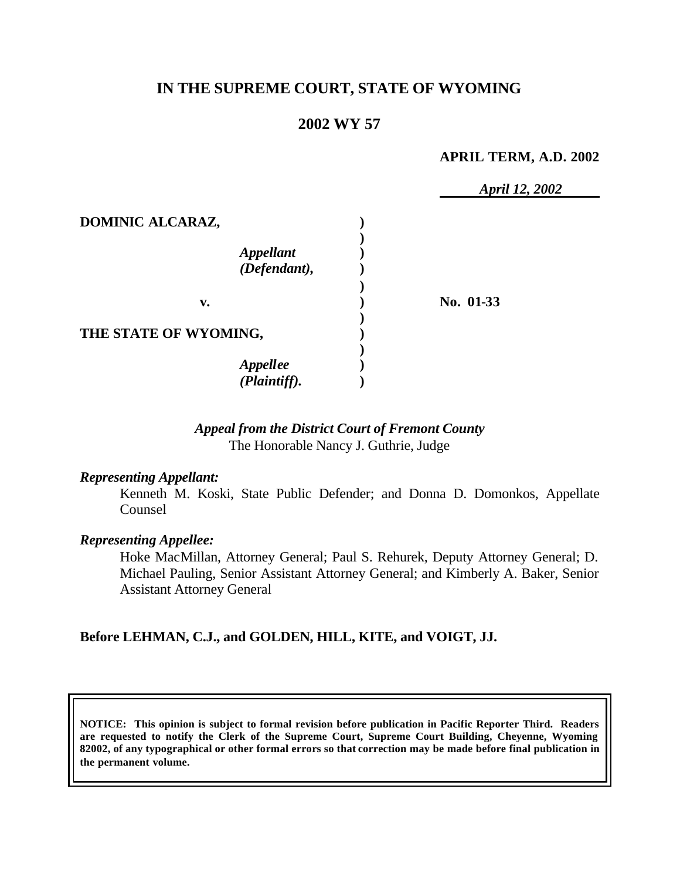# **IN THE SUPREME COURT, STATE OF WYOMING**

# **2002 WY 57**

### **APRIL TERM, A.D. 2002**

|                       | April 12, 2002 |
|-----------------------|----------------|
| DOMINIC ALCARAZ,      |                |
|                       |                |
| <b>Appellant</b>      |                |
| (Defendant),          |                |
|                       |                |
| v.                    | No. 01-33      |
|                       |                |
| THE STATE OF WYOMING, |                |
|                       |                |
| <b>Appellee</b>       |                |
| (Plaintiff).          |                |

## *Appeal from the District Court of Fremont County* The Honorable Nancy J. Guthrie, Judge

### *Representing Appellant:*

Kenneth M. Koski, State Public Defender; and Donna D. Domonkos, Appellate Counsel

### *Representing Appellee:*

Hoke MacMillan, Attorney General; Paul S. Rehurek, Deputy Attorney General; D. Michael Pauling, Senior Assistant Attorney General; and Kimberly A. Baker, Senior Assistant Attorney General

## **Before LEHMAN, C.J., and GOLDEN, HILL, KITE, and VOIGT, JJ.**

**NOTICE: This opinion is subject to formal revision before publication in Pacific Reporter Third. Readers are requested to notify the Clerk of the Supreme Court, Supreme Court Building, Cheyenne, Wyoming 82002, of any typographical or other formal errors so that correction may be made before final publication in the permanent volume.**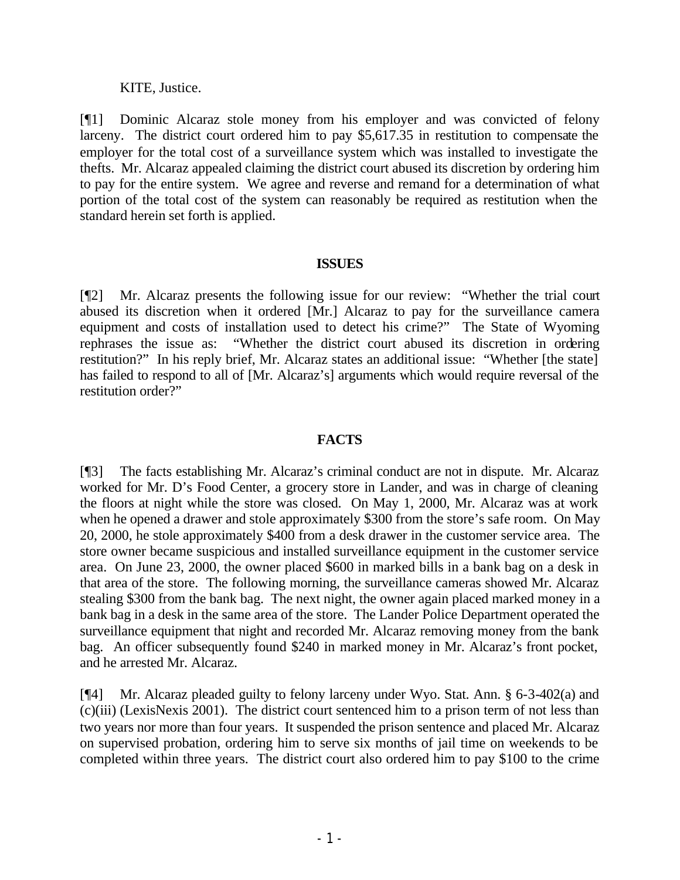### KITE, Justice.

[¶1] Dominic Alcaraz stole money from his employer and was convicted of felony larceny. The district court ordered him to pay \$5,617.35 in restitution to compensate the employer for the total cost of a surveillance system which was installed to investigate the thefts. Mr. Alcaraz appealed claiming the district court abused its discretion by ordering him to pay for the entire system. We agree and reverse and remand for a determination of what portion of the total cost of the system can reasonably be required as restitution when the standard herein set forth is applied.

### **ISSUES**

[¶2] Mr. Alcaraz presents the following issue for our review: "Whether the trial court abused its discretion when it ordered [Mr.] Alcaraz to pay for the surveillance camera equipment and costs of installation used to detect his crime?" The State of Wyoming rephrases the issue as: "Whether the district court abused its discretion in ordering restitution?" In his reply brief, Mr. Alcaraz states an additional issue: "Whether [the state] has failed to respond to all of [Mr. Alcaraz's] arguments which would require reversal of the restitution order?"

## **FACTS**

[¶3] The facts establishing Mr. Alcaraz's criminal conduct are not in dispute. Mr. Alcaraz worked for Mr. D's Food Center, a grocery store in Lander, and was in charge of cleaning the floors at night while the store was closed. On May 1, 2000, Mr. Alcaraz was at work when he opened a drawer and stole approximately \$300 from the store's safe room. On May 20, 2000, he stole approximately \$400 from a desk drawer in the customer service area. The store owner became suspicious and installed surveillance equipment in the customer service area. On June 23, 2000, the owner placed \$600 in marked bills in a bank bag on a desk in that area of the store. The following morning, the surveillance cameras showed Mr. Alcaraz stealing \$300 from the bank bag. The next night, the owner again placed marked money in a bank bag in a desk in the same area of the store. The Lander Police Department operated the surveillance equipment that night and recorded Mr. Alcaraz removing money from the bank bag. An officer subsequently found \$240 in marked money in Mr. Alcaraz's front pocket, and he arrested Mr. Alcaraz.

[¶4] Mr. Alcaraz pleaded guilty to felony larceny under Wyo. Stat. Ann. § 6-3-402(a) and (c)(iii) (LexisNexis 2001). The district court sentenced him to a prison term of not less than two years nor more than four years. It suspended the prison sentence and placed Mr. Alcaraz on supervised probation, ordering him to serve six months of jail time on weekends to be completed within three years. The district court also ordered him to pay \$100 to the crime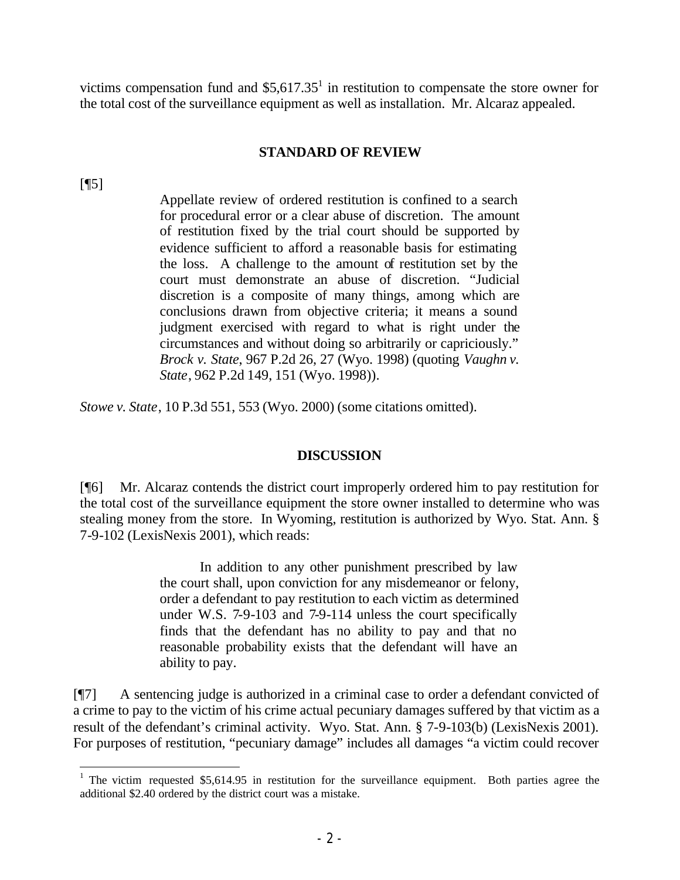victims compensation fund and  $$5,617.35$ <sup>1</sup> in restitution to compensate the store owner for the total cost of the surveillance equipment as well as installation. Mr. Alcaraz appealed.

## **STANDARD OF REVIEW**

 $[$ [15]

Appellate review of ordered restitution is confined to a search for procedural error or a clear abuse of discretion. The amount of restitution fixed by the trial court should be supported by evidence sufficient to afford a reasonable basis for estimating the loss. A challenge to the amount of restitution set by the court must demonstrate an abuse of discretion. "Judicial discretion is a composite of many things, among which are conclusions drawn from objective criteria; it means a sound judgment exercised with regard to what is right under the circumstances and without doing so arbitrarily or capriciously." *Brock v. State*, 967 P.2d 26, 27 (Wyo. 1998) (quoting *Vaughn v. State*, 962 P.2d 149, 151 (Wyo. 1998)).

*Stowe v. State*, 10 P.3d 551, 553 (Wyo. 2000) (some citations omitted).

### **DISCUSSION**

[¶6] Mr. Alcaraz contends the district court improperly ordered him to pay restitution for the total cost of the surveillance equipment the store owner installed to determine who was stealing money from the store. In Wyoming, restitution is authorized by Wyo. Stat. Ann. § 7-9-102 (LexisNexis 2001), which reads:

> In addition to any other punishment prescribed by law the court shall, upon conviction for any misdemeanor or felony, order a defendant to pay restitution to each victim as determined under W.S. 7-9-103 and 7-9-114 unless the court specifically finds that the defendant has no ability to pay and that no reasonable probability exists that the defendant will have an ability to pay.

[¶7] A sentencing judge is authorized in a criminal case to order a defendant convicted of a crime to pay to the victim of his crime actual pecuniary damages suffered by that victim as a result of the defendant's criminal activity. Wyo. Stat. Ann. § 7-9-103(b) (LexisNexis 2001). For purposes of restitution, "pecuniary damage" includes all damages "a victim could recover

<sup>&</sup>lt;sup>1</sup> The victim requested \$5,614.95 in restitution for the surveillance equipment. Both parties agree the additional \$2.40 ordered by the district court was a mistake.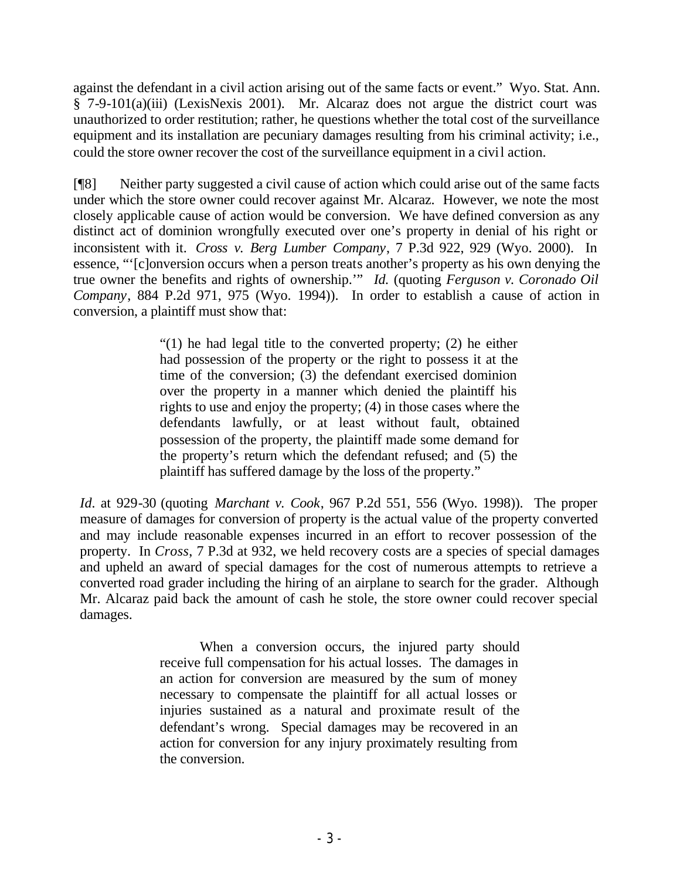against the defendant in a civil action arising out of the same facts or event." Wyo. Stat. Ann. § 7-9-101(a)(iii) (LexisNexis 2001). Mr. Alcaraz does not argue the district court was unauthorized to order restitution; rather, he questions whether the total cost of the surveillance equipment and its installation are pecuniary damages resulting from his criminal activity; i.e., could the store owner recover the cost of the surveillance equipment in a civil action.

[¶8] Neither party suggested a civil cause of action which could arise out of the same facts under which the store owner could recover against Mr. Alcaraz. However, we note the most closely applicable cause of action would be conversion. We have defined conversion as any distinct act of dominion wrongfully executed over one's property in denial of his right or inconsistent with it. *Cross v. Berg Lumber Company*, 7 P.3d 922, 929 (Wyo. 2000). In essence, "'[c]onversion occurs when a person treats another's property as his own denying the true owner the benefits and rights of ownership.'" *Id.* (quoting *Ferguson v. Coronado Oil Company*, 884 P.2d 971, 975 (Wyo. 1994)). In order to establish a cause of action in conversion, a plaintiff must show that:

> "(1) he had legal title to the converted property; (2) he either had possession of the property or the right to possess it at the time of the conversion; (3) the defendant exercised dominion over the property in a manner which denied the plaintiff his rights to use and enjoy the property; (4) in those cases where the defendants lawfully, or at least without fault, obtained possession of the property, the plaintiff made some demand for the property's return which the defendant refused; and (5) the plaintiff has suffered damage by the loss of the property."

*Id.* at 929-30 (quoting *Marchant v. Cook*, 967 P.2d 551, 556 (Wyo. 1998)). The proper measure of damages for conversion of property is the actual value of the property converted and may include reasonable expenses incurred in an effort to recover possession of the property. In *Cross*, 7 P.3d at 932, we held recovery costs are a species of special damages and upheld an award of special damages for the cost of numerous attempts to retrieve a converted road grader including the hiring of an airplane to search for the grader. Although Mr. Alcaraz paid back the amount of cash he stole, the store owner could recover special damages.

> When a conversion occurs, the injured party should receive full compensation for his actual losses. The damages in an action for conversion are measured by the sum of money necessary to compensate the plaintiff for all actual losses or injuries sustained as a natural and proximate result of the defendant's wrong. Special damages may be recovered in an action for conversion for any injury proximately resulting from the conversion.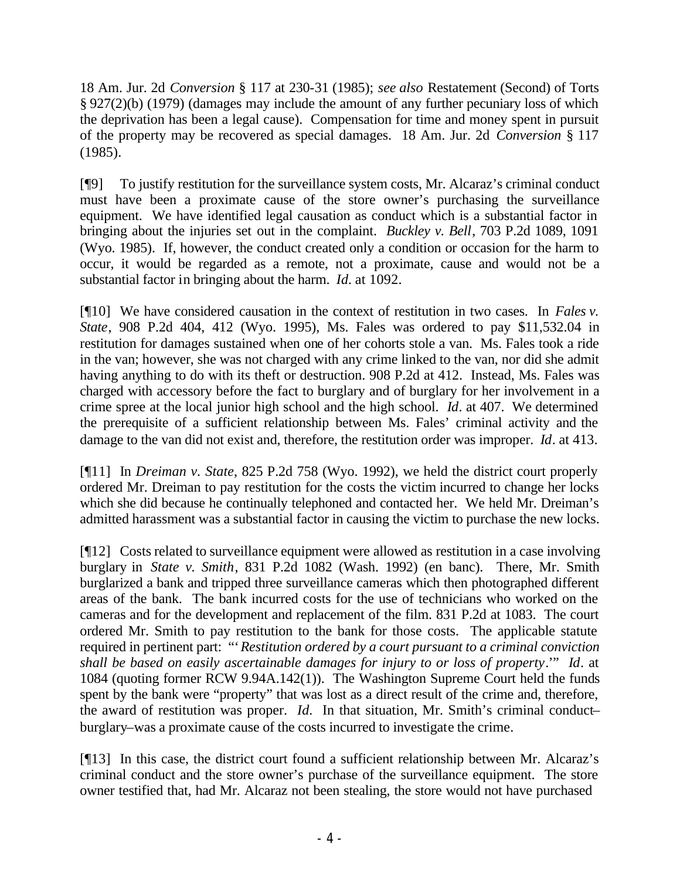18 Am. Jur. 2d *Conversion* § 117 at 230-31 (1985); *see also* Restatement (Second) of Torts § 927(2)(b) (1979) (damages may include the amount of any further pecuniary loss of which the deprivation has been a legal cause). Compensation for time and money spent in pursuit of the property may be recovered as special damages. 18 Am. Jur. 2d *Conversion* § 117 (1985).

[¶9] To justify restitution for the surveillance system costs, Mr. Alcaraz's criminal conduct must have been a proximate cause of the store owner's purchasing the surveillance equipment. We have identified legal causation as conduct which is a substantial factor in bringing about the injuries set out in the complaint. *Buckley v. Bell*, 703 P.2d 1089, 1091 (Wyo. 1985). If, however, the conduct created only a condition or occasion for the harm to occur, it would be regarded as a remote, not a proximate, cause and would not be a substantial factor in bringing about the harm. *Id.* at 1092.

[¶10] We have considered causation in the context of restitution in two cases. In *Fales v. State*, 908 P.2d 404, 412 (Wyo. 1995), Ms. Fales was ordered to pay \$11,532.04 in restitution for damages sustained when one of her cohorts stole a van. Ms. Fales took a ride in the van; however, she was not charged with any crime linked to the van, nor did she admit having anything to do with its theft or destruction. 908 P.2d at 412. Instead, Ms. Fales was charged with accessory before the fact to burglary and of burglary for her involvement in a crime spree at the local junior high school and the high school. *Id*. at 407. We determined the prerequisite of a sufficient relationship between Ms. Fales' criminal activity and the damage to the van did not exist and, therefore, the restitution order was improper. *Id*. at 413.

[¶11] In *Dreiman v. State*, 825 P.2d 758 (Wyo. 1992), we held the district court properly ordered Mr. Dreiman to pay restitution for the costs the victim incurred to change her locks which she did because he continually telephoned and contacted her. We held Mr. Dreiman's admitted harassment was a substantial factor in causing the victim to purchase the new locks.

[¶12] Costs related to surveillance equipment were allowed as restitution in a case involving burglary in *State v. Smith*, 831 P.2d 1082 (Wash. 1992) (en banc). There, Mr. Smith burglarized a bank and tripped three surveillance cameras which then photographed different areas of the bank. The bank incurred costs for the use of technicians who worked on the cameras and for the development and replacement of the film. 831 P.2d at 1083. The court ordered Mr. Smith to pay restitution to the bank for those costs. The applicable statute required in pertinent part: "'*Restitution ordered by a court pursuant to a criminal conviction shall be based on easily ascertainable damages for injury to or loss of property*.'" *Id*. at 1084 (quoting former RCW 9.94A.142(1)). The Washington Supreme Court held the funds spent by the bank were "property" that was lost as a direct result of the crime and, therefore, the award of restitution was proper. *Id.* In that situation, Mr. Smith's criminal conduct– burglary–was a proximate cause of the costs incurred to investigate the crime.

[¶13] In this case, the district court found a sufficient relationship between Mr. Alcaraz's criminal conduct and the store owner's purchase of the surveillance equipment. The store owner testified that, had Mr. Alcaraz not been stealing, the store would not have purchased